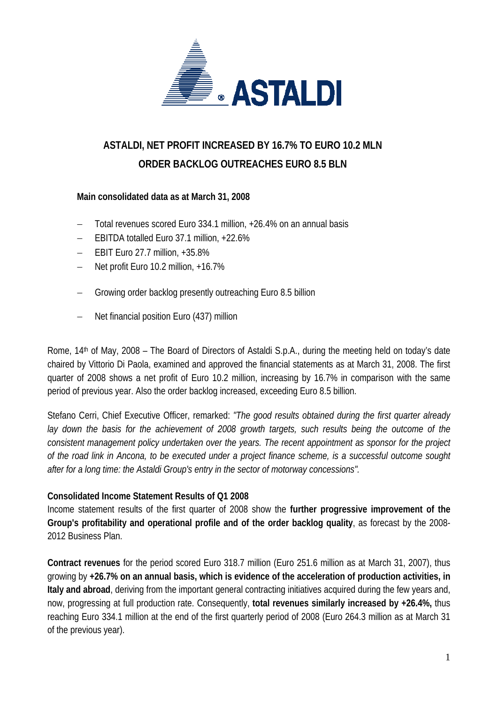

# **ASTALDI, NET PROFIT INCREASED BY 16.7% TO EURO 10.2 MLN ORDER BACKLOG OUTREACHES EURO 8.5 BLN**

## **Main consolidated data as at March 31, 2008**

- − Total revenues scored Euro 334.1 million, +26.4% on an annual basis
- − EBITDA totalled Euro 37.1 million, +22.6%
- − EBIT Euro 27.7 million, +35.8%
- − Net profit Euro 10.2 million, +16.7%
- Growing order backlog presently outreaching Euro 8.5 billion
- − Net financial position Euro (437) million

Rome, 14<sup>th</sup> of May, 2008 – The Board of Directors of Astaldi S.p.A., during the meeting held on today's date chaired by Vittorio Di Paola, examined and approved the financial statements as at March 31, 2008. The first quarter of 2008 shows a net profit of Euro 10.2 million, increasing by 16.7% in comparison with the same period of previous year. Also the order backlog increased, exceeding Euro 8.5 billion.

Stefano Cerri, Chief Executive Officer, remarked: *"The good results obtained during the first quarter already lay down the basis for the achievement of 2008 growth targets, such results being the outcome of the consistent management policy undertaken over the years. The recent appointment as sponsor for the project of the road link in Ancona, to be executed under a project finance scheme, is a successful outcome sought after for a long time: the Astaldi Group's entry in the sector of motorway concessions".* 

#### **Consolidated Income Statement Results of Q1 2008**

Income statement results of the first quarter of 2008 show the **further progressive improvement of the Group's profitability and operational profile and of the order backlog quality**, as forecast by the 2008- 2012 Business Plan.

**Contract revenues** for the period scored Euro 318.7 million (Euro 251.6 million as at March 31, 2007), thus growing by **+26.7% on an annual basis, which is evidence of the acceleration of production activities, in Italy and abroad**, deriving from the important general contracting initiatives acquired during the few years and, now, progressing at full production rate. Consequently, **total revenues similarly increased by +26.4%,** thus reaching Euro 334.1 million at the end of the first quarterly period of 2008 (Euro 264.3 million as at March 31 of the previous year).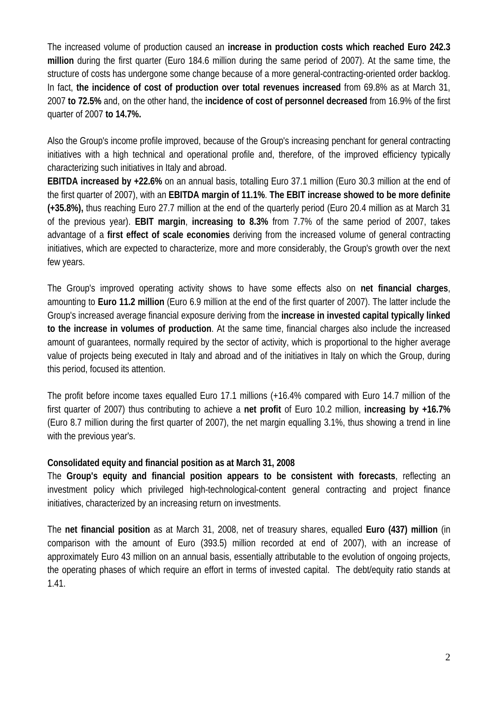The increased volume of production caused an **increase in production costs which reached Euro 242.3 million** during the first quarter (Euro 184.6 million during the same period of 2007). At the same time, the structure of costs has undergone some change because of a more general-contracting-oriented order backlog. In fact, **the incidence of cost of production over total revenues increased** from 69.8% as at March 31, 2007 **to 72.5%** and, on the other hand, the **incidence of cost of personnel decreased** from 16.9% of the first quarter of 2007 **to 14.7%.**

Also the Group's income profile improved, because of the Group's increasing penchant for general contracting initiatives with a high technical and operational profile and, therefore, of the improved efficiency typically characterizing such initiatives in Italy and abroad.

**EBITDA increased by +22.6%** on an annual basis, totalling Euro 37.1 million (Euro 30.3 million at the end of the first quarter of 2007), with an **EBITDA margin of 11.1%**. **The EBIT increase showed to be more definite (+35.8%),** thus reaching Euro 27.7 million at the end of the quarterly period (Euro 20.4 million as at March 31 of the previous year). **EBIT margin**, **increasing to 8.3%** from 7.7% of the same period of 2007, takes advantage of a **first effect of scale economies** deriving from the increased volume of general contracting initiatives, which are expected to characterize, more and more considerably, the Group's growth over the next few years.

The Group's improved operating activity shows to have some effects also on **net financial charges**, amounting to **Euro 11.2 million** (Euro 6.9 million at the end of the first quarter of 2007). The latter include the Group's increased average financial exposure deriving from the **increase in invested capital typically linked to the increase in volumes of production**. At the same time, financial charges also include the increased amount of guarantees, normally required by the sector of activity, which is proportional to the higher average value of projects being executed in Italy and abroad and of the initiatives in Italy on which the Group, during this period, focused its attention.

The profit before income taxes equalled Euro 17.1 millions (+16.4% compared with Euro 14.7 million of the first quarter of 2007) thus contributing to achieve a **net profit** of Euro 10.2 million, **increasing by +16.7%** (Euro 8.7 million during the first quarter of 2007), the net margin equalling 3.1%, thus showing a trend in line with the previous year's.

## **Consolidated equity and financial position as at March 31, 2008**

The **Group's equity and financial position appears to be consistent with forecasts**, reflecting an investment policy which privileged high-technological-content general contracting and project finance initiatives, characterized by an increasing return on investments.

The **net financial position** as at March 31, 2008, net of treasury shares, equalled **Euro (437) million** (in comparison with the amount of Euro (393.5) million recorded at end of 2007), with an increase of approximately Euro 43 million on an annual basis, essentially attributable to the evolution of ongoing projects, the operating phases of which require an effort in terms of invested capital. The debt/equity ratio stands at 1.41.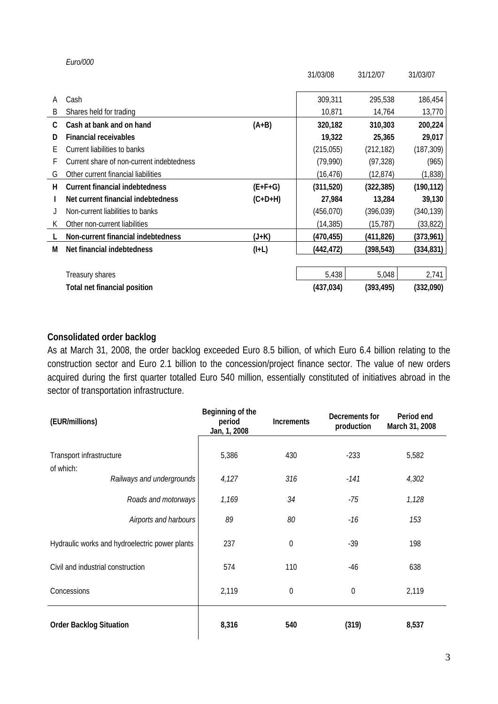|    |                                           |           | 31/03/08   | 31/12/07   | 31/03/07   |
|----|-------------------------------------------|-----------|------------|------------|------------|
| A  | Cash                                      |           | 309,311    | 295,538    | 186,454    |
| B  | Shares held for trading                   |           | 10,871     | 14,764     | 13,770     |
| C  | Cash at bank and on hand                  | $(A+B)$   | 320,182    | 310,303    | 200,224    |
| D  | <b>Financial receivables</b>              |           | 19,322     | 25,365     | 29,017     |
| Е  | Current liabilities to banks              |           | (215, 055) | (212, 182) | (187, 309) |
| F  | Current share of non-current indebtedness |           | (79,990)   | (97, 328)  | (965)      |
| G  | Other current financial liabilities       |           | (16,476)   | (12, 874)  | (1,838)    |
| н  | <b>Current financial indebtedness</b>     | $(E+F+G)$ | (311,520)  | (322, 385) | (190, 112) |
|    | Net current financial indebtedness        | $(C+D+H)$ | 27,984     | 13,284     | 39,130     |
|    | Non-current liabilities to banks          |           | (456, 070) | (396, 039) | (340,139)  |
| K. | Other non-current liabilities             |           | (14, 385)  | (15, 787)  | (33, 822)  |
|    | Non-current financial indebtedness        | $(J+K)$   | (470, 455) | (411,826)  | (373,961)  |
| М  | Net financial indebtedness                | $(I+L)$   | (442, 472) | (398,543)  | (334, 831) |
|    |                                           |           |            |            |            |
|    | Treasury shares                           |           | 5,438      | 5,048      | 2,741      |
|    | <b>Total net financial position</b>       |           | (437, 034) | (393, 495) | (332,090)  |

## **Consolidated order backlog**

*Euro/000* 

As at March 31, 2008, the order backlog exceeded Euro 8.5 billion, of which Euro 6.4 billion relating to the construction sector and Euro 2.1 billion to the concession/project finance sector. The value of new orders acquired during the first quarter totalled Euro 540 million, essentially constituted of initiatives abroad in the sector of transportation infrastructure.

| (EUR/millions)                                 | Beginning of the<br>period<br>Jan, 1, 2008 | <b>Increments</b> | Decrements for<br>production | Period end<br>March 31, 2008 |
|------------------------------------------------|--------------------------------------------|-------------------|------------------------------|------------------------------|
| Transport infrastructure<br>of which:          | 5,386                                      | 430               | $-233$                       | 5,582                        |
| Railways and undergrounds                      | 4,127                                      | 316               | $-141$                       | 4,302                        |
| Roads and motorways                            | 1,169                                      | 34                | $-75$                        | 1,128                        |
| Airports and harbours                          | 89                                         | 80                | -16                          | 153                          |
| Hydraulic works and hydroelectric power plants | 237                                        | $\mathbf 0$       | $-39$                        | 198                          |
| Civil and industrial construction              | 574                                        | 110               | $-46$                        | 638                          |
| Concessions                                    | 2,119                                      | $\mathbf 0$       | $\mathbf 0$                  | 2,119                        |
| <b>Order Backlog Situation</b>                 | 8,316                                      | 540               | (319)                        | 8,537                        |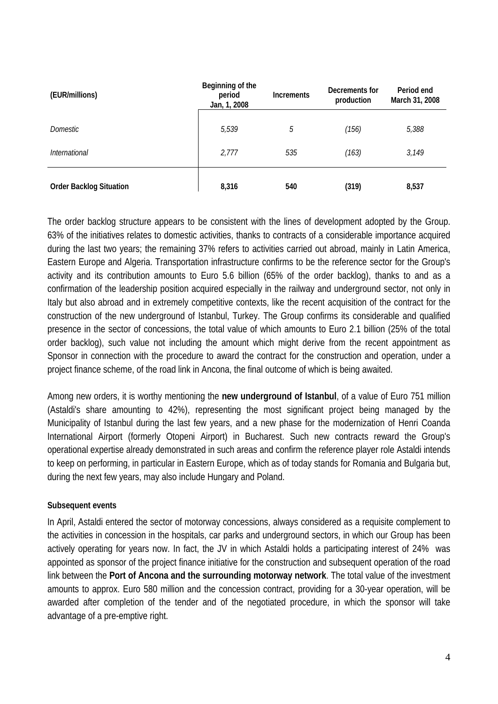| (EUR/millions)                 | Beginning of the<br>period<br>Jan, 1, 2008 | <b>Increments</b> | Decrements for<br>production | Period end<br>March 31, 2008 |
|--------------------------------|--------------------------------------------|-------------------|------------------------------|------------------------------|
| <i>Domestic</i>                | 5,539                                      | 5                 | (156)                        | 5,388                        |
| <i>International</i>           | 2,777                                      | 535               | (163)                        | 3,149                        |
| <b>Order Backlog Situation</b> | 8,316                                      | 540               | (319)                        | 8,537                        |

The order backlog structure appears to be consistent with the lines of development adopted by the Group. 63% of the initiatives relates to domestic activities, thanks to contracts of a considerable importance acquired during the last two years; the remaining 37% refers to activities carried out abroad, mainly in Latin America, Eastern Europe and Algeria. Transportation infrastructure confirms to be the reference sector for the Group's activity and its contribution amounts to Euro 5.6 billion (65% of the order backlog), thanks to and as a confirmation of the leadership position acquired especially in the railway and underground sector, not only in Italy but also abroad and in extremely competitive contexts, like the recent acquisition of the contract for the construction of the new underground of Istanbul, Turkey. The Group confirms its considerable and qualified presence in the sector of concessions, the total value of which amounts to Euro 2.1 billion (25% of the total order backlog), such value not including the amount which might derive from the recent appointment as Sponsor in connection with the procedure to award the contract for the construction and operation, under a project finance scheme, of the road link in Ancona, the final outcome of which is being awaited.

Among new orders, it is worthy mentioning the **new underground of Istanbul**, of a value of Euro 751 million (Astaldi's share amounting to 42%), representing the most significant project being managed by the Municipality of Istanbul during the last few years, and a new phase for the modernization of Henri Coanda International Airport (formerly Otopeni Airport) in Bucharest. Such new contracts reward the Group's operational expertise already demonstrated in such areas and confirm the reference player role Astaldi intends to keep on performing, in particular in Eastern Europe, which as of today stands for Romania and Bulgaria but, during the next few years, may also include Hungary and Poland.

#### **Subsequent events**

In April, Astaldi entered the sector of motorway concessions, always considered as a requisite complement to the activities in concession in the hospitals, car parks and underground sectors, in which our Group has been actively operating for years now. In fact, the JV in which Astaldi holds a participating interest of 24% was appointed as sponsor of the project finance initiative for the construction and subsequent operation of the road link between the **Port of Ancona and the surrounding motorway network**. The total value of the investment amounts to approx. Euro 580 million and the concession contract, providing for a 30-year operation, will be awarded after completion of the tender and of the negotiated procedure, in which the sponsor will take advantage of a pre-emptive right.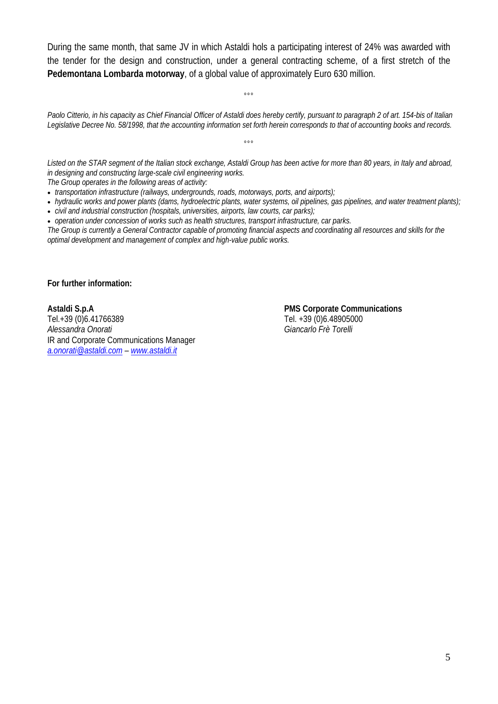During the same month, that same JV in which Astaldi hols a participating interest of 24% was awarded with the tender for the design and construction, under a general contracting scheme, of a first stretch of the **Pedemontana Lombarda motorway**, of a global value of approximately Euro 630 million.

 $^{\circ}$ °

*Paolo Citterio, in his capacity as Chief Financial Officer of Astaldi does hereby certify, pursuant to paragraph 2 of art. 154-bis of Italian Legislative Decree No. 58/1998, that the accounting information set forth herein corresponds to that of accounting books and records.* 

*Listed on the STAR segment of the Italian stock exchange, Astaldi Group has been active for more than 80 years, in Italy and abroad, in designing and constructing large-scale civil engineering works.* 

°°°

*The Group operates in the following areas of activity:* 

• *transportation infrastructure (railways, undergrounds, roads, motorways, ports, and airports);* 

- *hydraulic works and power plants (dams, hydroelectric plants, water systems, oil pipelines, gas pipelines, and water treatment plants);*
- *civil and industrial construction (hospitals, universities, airports, law courts, car parks);*

• *operation under concession of works such as health structures, transport infrastructure, car parks. The Group is currently a General Contractor capable of promoting financial aspects and coordinating all resources and skills for the optimal development and management of complex and high-value public works.* 

**For further information:** 

**Astaldi S.p.A PMS Corporate Communications** Tel.+39 (0)6.41766389 Tel. +39 (0)6.48905000 *Alessandra Onorati Giancarlo Frè Torelli* IR and Corporate Communications Manager *a.onorati@astaldi.com – www.astaldi.it*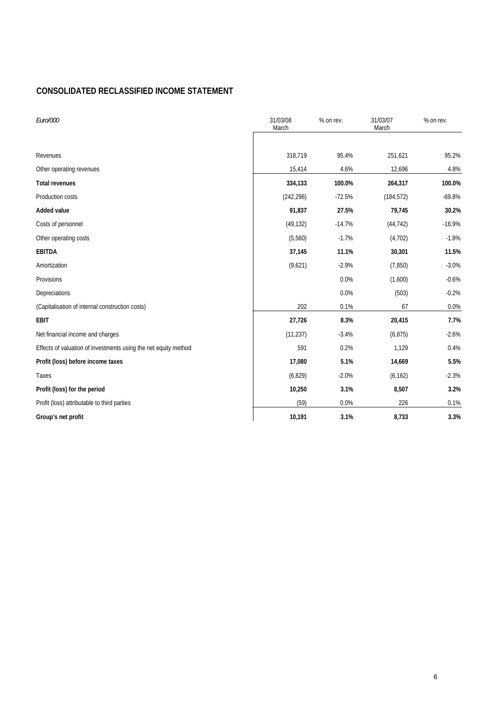#### **CONSOLIDATED RECLASSIFIED INCOME STATEMENT**

| Euro/000                                                        | 31/03/08<br>March | % on rev. | 31/03/07<br>March | % on rev. |  |
|-----------------------------------------------------------------|-------------------|-----------|-------------------|-----------|--|
| Revenues                                                        | 318,719           | 95.4%     | 251,621           | 95.2%     |  |
| Other operating revenues                                        | 15,414            | 4.6%      | 12,696            | 4.8%      |  |
| <b>Total revenues</b>                                           | 334,133           | 100.0%    | 264,317           | 100.0%    |  |
| Production costs                                                | (242, 296)        | $-72.5%$  | (184, 572)        | $-69.8%$  |  |
| Added value                                                     | 91,837            | 27.5%     | 79,745            | 30.2%     |  |
| Costs of personnel                                              | (49, 132)         | $-14.7%$  | (44, 742)         | $-16.9%$  |  |
| Other operating costs                                           | (5,560)           | $-1.7%$   | (4,702)           | $-1.8%$   |  |
| EBITDA                                                          | 37,145            | 11.1%     | 30,301            | 11.5%     |  |
| Amortization                                                    | (9,621)           | $-2.9%$   | (7, 850)          | $-3.0%$   |  |
| Provisions                                                      |                   | 0.0%      | (1,600)           | $-0.6%$   |  |
| Depreciations                                                   |                   | 0.0%      | (503)             | $-0.2%$   |  |
| (Capitalisation of internal construction costs)                 | 202               | 0.1%      | 67                | 0.0%      |  |
| <b>EBIT</b>                                                     | 27,726            | 8.3%      | 20,415            | 7.7%      |  |
| Net financial income and charges                                | (11, 237)         | $-3.4%$   | (6, 875)          | $-2.6%$   |  |
| Effects of valuation of investments using the net equity method | 591               | 0.2%      | 1,129             | 0.4%      |  |
| Profit (loss) before income taxes                               | 17,080            | 5.1%      | 14,669            | 5.5%      |  |
| Taxes                                                           | (6, 829)          | $-2.0%$   | (6, 162)          | $-2.3%$   |  |
| Profit (loss) for the period                                    | 10,250            | 3.1%      | 8,507             | 3.2%      |  |
| Profit (loss) attributable to third parties                     | (59)              | 0.0%      | 226               | 0.1%      |  |
| Group's net profit                                              | 10,191            | 3.1%      | 8,733             | 3.3%      |  |